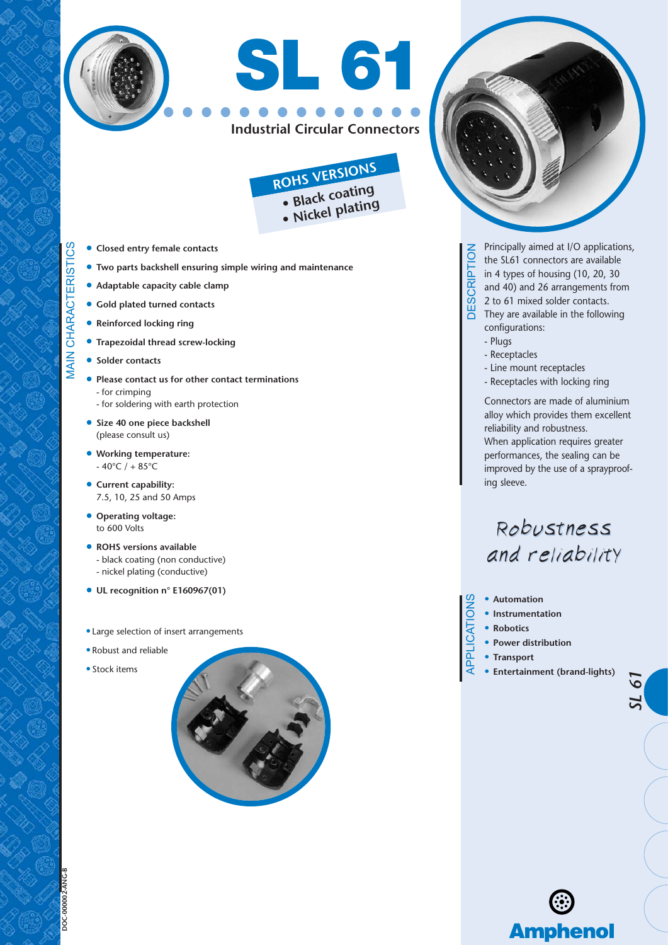

# **SL 61**

### **Industrial Circular Connectors**



- **Closed entry female contacts**
- **Two parts backshell ensuring simple wiring and maintenance**
- **Adaptable capacity cable clamp**
- **Gold plated turned contacts**
- **Reinforced locking ring**
- **Trapezoidal thread screw-locking**
- **Solder contacts**
- **Please contact us for other contact terminations** - for crimping
	- for soldering with earth protection
- **Size 40 one piece backshell**  (please consult us)
- **Working temperature:**   $-40^{\circ}$ C / + 85 $^{\circ}$ C
- **Current capability:**  7.5, 10, 25 and 50 Amps
- **Operating voltage:**  to 600 Volts
- **ROHS versions available** - black coating (non conductive) - nickel plating (conductive)
- **UL recognition n° E160967(01)**
- Large selection of insert arrangements
- Robust and reliable
- Stock items

**DOC-000002-ANG-B**

DOC-000002-ANG





- Principally aimed at I/O applications,  $\epsilon$ 
	- the SL61 connectors are available
- **DESCRIPTION** E in 4 types of housing (10, 20, 30
- **DESCRI** and 40) and 26 arrangements from
	- 2 to 61 mixed solder contacts.
	- They are available in the following configurations:
		- Plugs
		- Receptacles
		- Line mount receptacles
		- Receptacles with locking ring

Connectors are made of aluminium alloy which provides them excellent reliability and robustness. When application requires greater performances, the sealing can be improved by the use of a sprayproofing sleeve.

## Robustness Robustness and reliability and reliability

- **Automation**
- **Instrumentation**
- APPLICATIONS **IPPLICATION** • **Robotics**
	- **Power distribution**
	- **Transport**
	- **Entertainment (brand-lights)**

*SL 61*



**MAIN CHARACTERISTICS** MAIN CHARACTERISTICS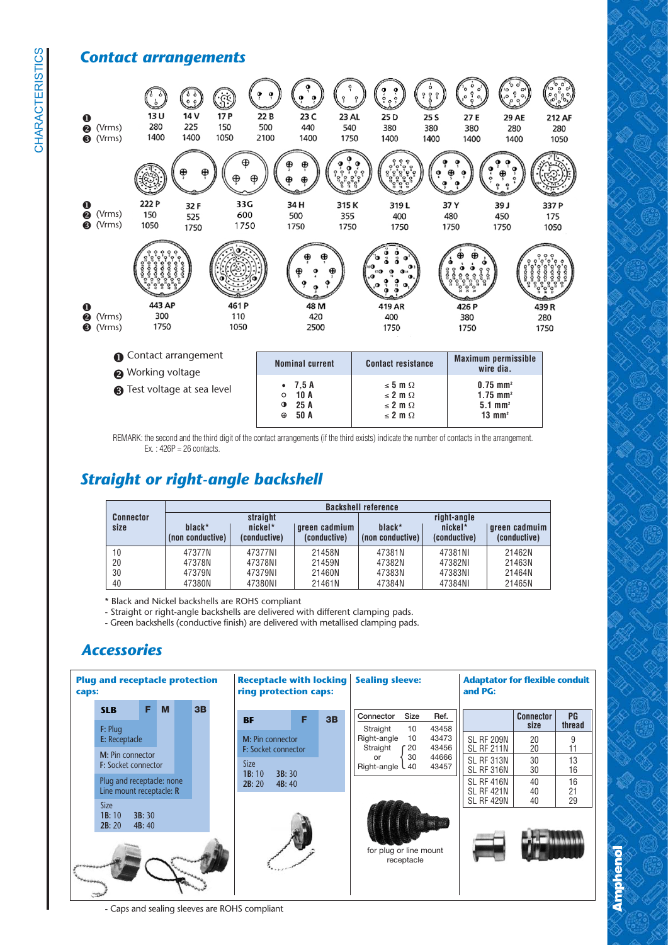### *Contact arrangements*



REMARK: the second and the third digit of the contact arrangements (if the third exists) indicate the number of contacts in the arrangement.  $Ex.$ : 426P = 26 contacts.

### *Straight or right-angle backshell*

|                          | <b>Backshell reference</b> |                                     |                               |                            |                                        |                               |  |  |  |  |  |
|--------------------------|----------------------------|-------------------------------------|-------------------------------|----------------------------|----------------------------------------|-------------------------------|--|--|--|--|--|
| <b>Connector</b><br>size | black*<br>(non conductive) | straight<br>nickel*<br>(conductive) | green cadmium<br>(conductive) | black*<br>(non conductive) | right-angle<br>nickel*<br>(conductive) | green cadmuim<br>(conductive) |  |  |  |  |  |
|                          |                            |                                     |                               |                            |                                        |                               |  |  |  |  |  |
| 10                       | 47377N                     | 47377NI                             | 21458N                        | 47381N                     | 47381NI                                | 21462N                        |  |  |  |  |  |
| 20                       | 47378N                     | 47378NI                             | 21459N                        | 47382N                     | 47382NI                                | 21463N                        |  |  |  |  |  |
| 30                       | 47379N                     | 47379NI                             | 21460N                        | 47383N                     | 47383NI                                | 21464N                        |  |  |  |  |  |
| 40                       | 47380N                     | 47380NI                             | 21461N                        | 47384N                     | 47384NI                                | 21465N                        |  |  |  |  |  |

\* Black and Nickel backshells are ROHS compliant

- Straight or right-angle backshells are delivered with different clamping pads.

- Green backshells (conductive finish) are delivered with metallised clamping pads.

### *Accessories*



Amphenol

- Caps and sealing sleeves are ROHS compliant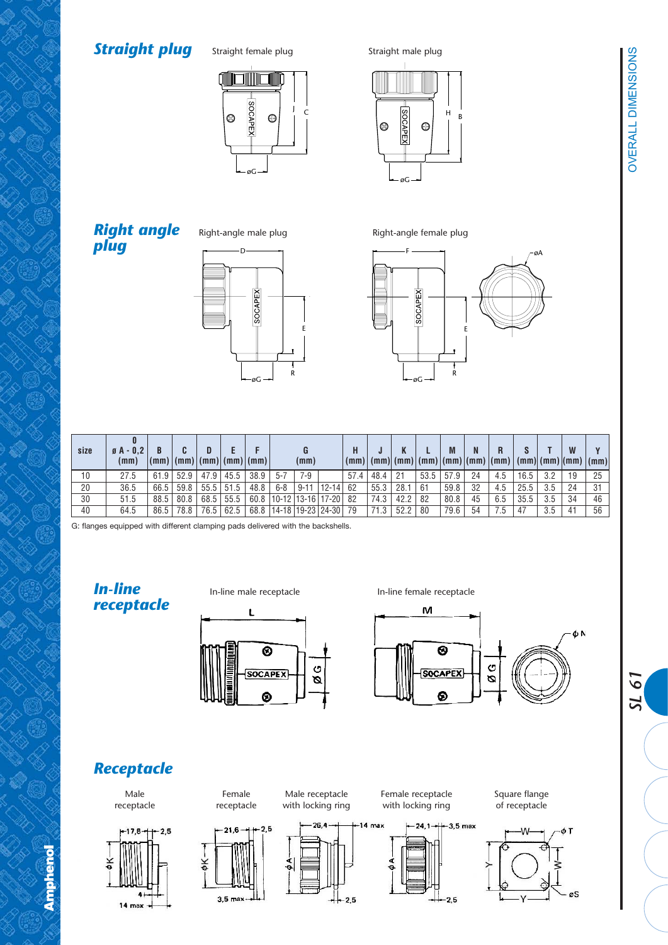# **OVERALL DIMENSIONS** *SL 61* OVERALL DIMENSIONS

### **Straight plug** Straight female plug Straight male plug

*Right angle*

*plug*





Right-angle male plug and a series Right-angle female plug



| size | $gA - 0.2$<br>(mm) | (mm) | (mm) |      | $(mm)$  (mm) (mm) |      |         | (mm)     |                                   | (mm) | (mm) | (mm) (mm) (mm) (mm) (mm) |      |      |    | $\lceil$ (mm) $\rceil$ |      | (mm)  (mm)  (mm) | W  | $\mathsf{m}$ |
|------|--------------------|------|------|------|-------------------|------|---------|----------|-----------------------------------|------|------|--------------------------|------|------|----|------------------------|------|------------------|----|--------------|
| 10   | 27.5               | 61.9 | 52.9 | 47.9 | 45.5              | 38.9 | $5 - 7$ | $7 - 9$  |                                   | 57.4 | 48.4 | 21                       | 53.5 | 57.9 | 24 | 4.5                    | 16.5 | 3.2              | 19 | 25           |
| 20   | 36.5               | 66.5 | 59.8 | 55.5 | 51.5              | 48.8 | $6 - 8$ | $9 - 11$ | $12 - 14$                         | 62   | 55.3 | 28.1                     | -61  | 59.8 | 32 | 4.5                    | 25.5 | 3.5              | 24 | 31           |
| 30   | 51.5               | 88.5 | 80.8 | 68.5 | 55.5              |      |         |          | 60.8   10-12   13-16   17-20   82 |      | 74.3 | 42.2                     | 82   | 80.8 | 45 | 6.5                    | 35.5 | 3.5              | 34 | 46           |
| 40   | 64.5               | 86.5 | 78.8 | 76.5 | 62.5              |      |         |          | 68.8   14-18   19-23   24-30      | 79   | 71.3 | 52.2                     | 80   | 79.6 | 54 | .5                     | 47   | 3.5              | 41 | 56           |

G: flanges equipped with different clamping pads delivered with the backshells.

*In-line receptacle*



øG

E

R

D

In-line female receptacle



### *Receptacle*



фK

44 3,5 max



 $-2,5$ 

Male Female Male receptacle Female Female Square flange<br>
Feceptacle Square flange receptacle with locking ring of receptacle in the receptacle vith locking ring of receptacle with locking ring







SL 61